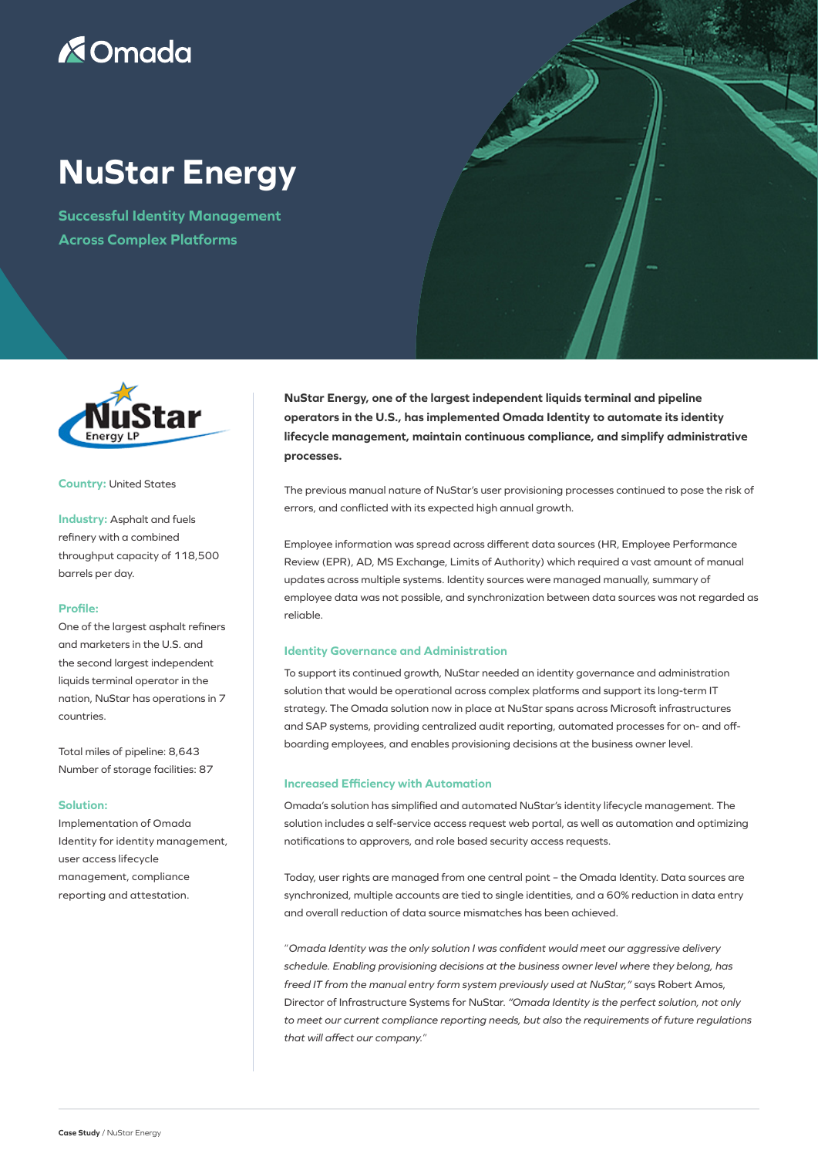## **X**Omada

# **NuStar Energy**

**Successful Identity Management Across Complex Platforms**



#### **Country:** United States

**Industry:** Asphalt and fuels refinery with a combined throughput capacity of 118,500 barrels per day.

#### **Profile:**

One of the largest asphalt refiners and marketers in the U.S. and the second largest independent liquids terminal operator in the nation, NuStar has operations in 7 countries.

Total miles of pipeline: 8,643 Number of storage facilities: 87

#### **Solution:**

Implementation of Omada Identity for identity management, user access lifecycle management, compliance reporting and attestation.

**NuStar Energy, one of the largest independent liquids terminal and pipeline operators in the U.S., has implemented Omada Identity to automate its identity lifecycle management, maintain continuous compliance, and simplify administrative processes.**

**PASSE** 

The previous manual nature of NuStar's user provisioning processes continued to pose the risk of errors, and conflicted with its expected high annual growth.

Employee information was spread across different data sources (HR, Employee Performance Review (EPR), AD, MS Exchange, Limits of Authority) which required a vast amount of manual updates across multiple systems. Identity sources were managed manually, summary of employee data was not possible, and synchronization between data sources was not regarded as reliable.

### **Identity Governance and Administration**

To support its continued growth, NuStar needed an identity governance and administration solution that would be operational across complex platforms and support its long-term IT strategy. The Omada solution now in place at NuStar spans across Microsoft infrastructures and SAP systems, providing centralized audit reporting, automated processes for on- and offboarding employees, and enables provisioning decisions at the business owner level.

#### **Increased Efficiency with Automation**

Omada's solution has simplified and automated NuStar's identity lifecycle management. The solution includes a self-service access request web portal, as well as automation and optimizing notifications to approvers, and role based security access requests.

Today, user rights are managed from one central point – the Omada Identity. Data sources are synchronized, multiple accounts are tied to single identities, and a 60% reduction in data entry and overall reduction of data source mismatches has been achieved.

"*Omada Identity was the only solution I was confident would meet our aggressive delivery schedule. Enabling provisioning decisions at the business owner level where they belong, has freed IT from the manual entry form system previously used at NuStar,"* says Robert Amos, Director of Infrastructure Systems for NuStar. *"Omada Identity is the perfect solution, not only to meet our current compliance reporting needs, but also the requirements of future regulations that will affect our company.*"